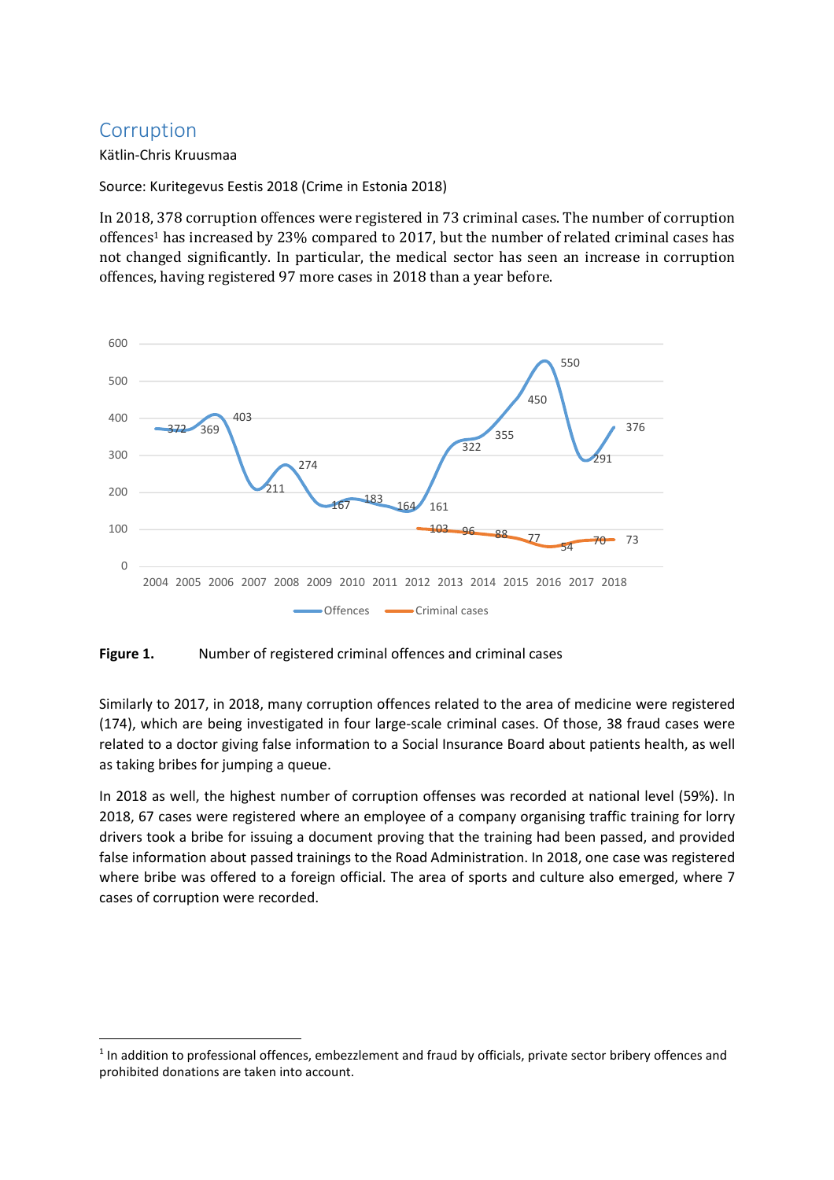## Corruption

l

Kätlin-Chris Kruusmaa

Source: Kuritegevus Eestis 2018 (Crime in Estonia 2018)

In 2018, 378 corruption offences were registered in 73 criminal cases. The number of corruption offences1 has increased by 23% compared to 2017, but the number of related criminal cases has not changed significantly. In particular, the medical sector has seen an increase in corruption offences, having registered 97 more cases in 2018 than a year before.



## Figure 1. Number of registered criminal offences and criminal cases

Similarly to 2017, in 2018, many corruption offences related to the area of medicine were registered (174), which are being investigated in four large-scale criminal cases. Of those, 38 fraud cases were related to a doctor giving false information to a Social Insurance Board about patients health, as well as taking bribes for jumping a queue.

In 2018 as well, the highest number of corruption offenses was recorded at national level (59%). In 2018, 67 cases were registered where an employee of a company organising traffic training for lorry drivers took a bribe for issuing a document proving that the training had been passed, and provided false information about passed trainings to the Road Administration. In 2018, one case was registered where bribe was offered to a foreign official. The area of sports and culture also emerged, where 7 cases of corruption were recorded.

<sup>&</sup>lt;sup>1</sup> In addition to professional offences, embezzlement and fraud by officials, private sector bribery offences and prohibited donations are taken into account.